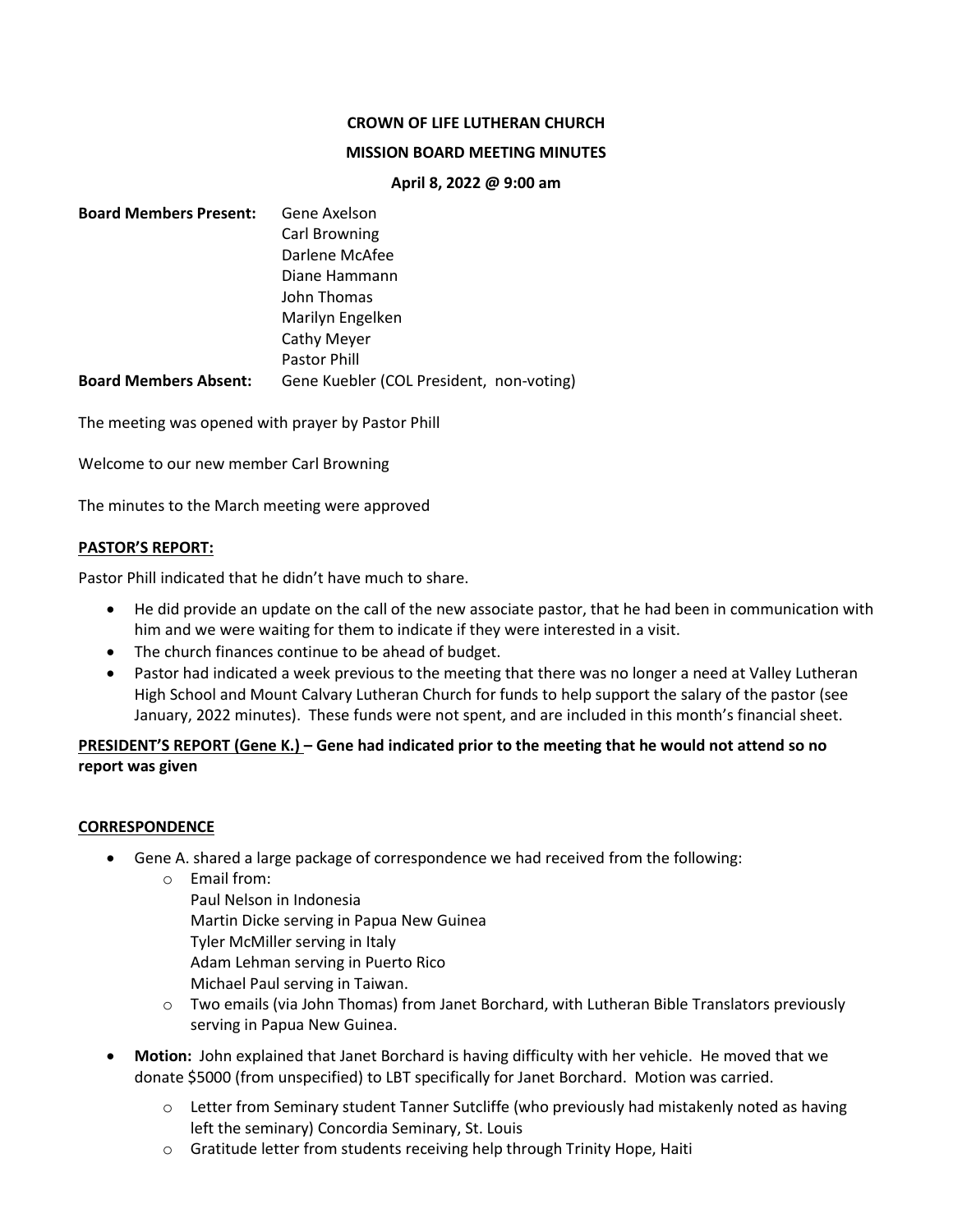## **CROWN OF LIFE LUTHERAN CHURCH**

### **MISSION BOARD MEETING MINUTES**

#### **April 8, 2022 @ 9:00 am**

| <b>Board Members Present:</b> | Gene Axelson                             |
|-------------------------------|------------------------------------------|
|                               | Carl Browning                            |
|                               | Darlene McAfee                           |
|                               | Diane Hammann                            |
|                               | John Thomas                              |
|                               | Marilyn Engelken                         |
|                               | Cathy Meyer                              |
|                               | <b>Pastor Phill</b>                      |
| <b>Board Members Absent:</b>  | Gene Kuebler (COL President, non-voting) |

The meeting was opened with prayer by Pastor Phill

Welcome to our new member Carl Browning

The minutes to the March meeting were approved

## **PASTOR'S REPORT:**

Pastor Phill indicated that he didn't have much to share.

- He did provide an update on the call of the new associate pastor, that he had been in communication with him and we were waiting for them to indicate if they were interested in a visit.
- The church finances continue to be ahead of budget.
- Pastor had indicated a week previous to the meeting that there was no longer a need at Valley Lutheran High School and Mount Calvary Lutheran Church for funds to help support the salary of the pastor (see January, 2022 minutes). These funds were not spent, and are included in this month's financial sheet.

# **PRESIDENT'S REPORT (Gene K.) – Gene had indicated prior to the meeting that he would not attend so no report was given**

## **CORRESPONDENCE**

- Gene A. shared a large package of correspondence we had received from the following:
	- o Email from:
		- Paul Nelson in Indonesia Martin Dicke serving in Papua New Guinea Tyler McMiller serving in Italy Adam Lehman serving in Puerto Rico Michael Paul serving in Taiwan.
	- o Two emails (via John Thomas) from Janet Borchard, with Lutheran Bible Translators previously serving in Papua New Guinea.
- **Motion:** John explained that Janet Borchard is having difficulty with her vehicle. He moved that we donate \$5000 (from unspecified) to LBT specifically for Janet Borchard. Motion was carried.
	- $\circ$  Letter from Seminary student Tanner Sutcliffe (who previously had mistakenly noted as having left the seminary) Concordia Seminary, St. Louis
	- o Gratitude letter from students receiving help through Trinity Hope, Haiti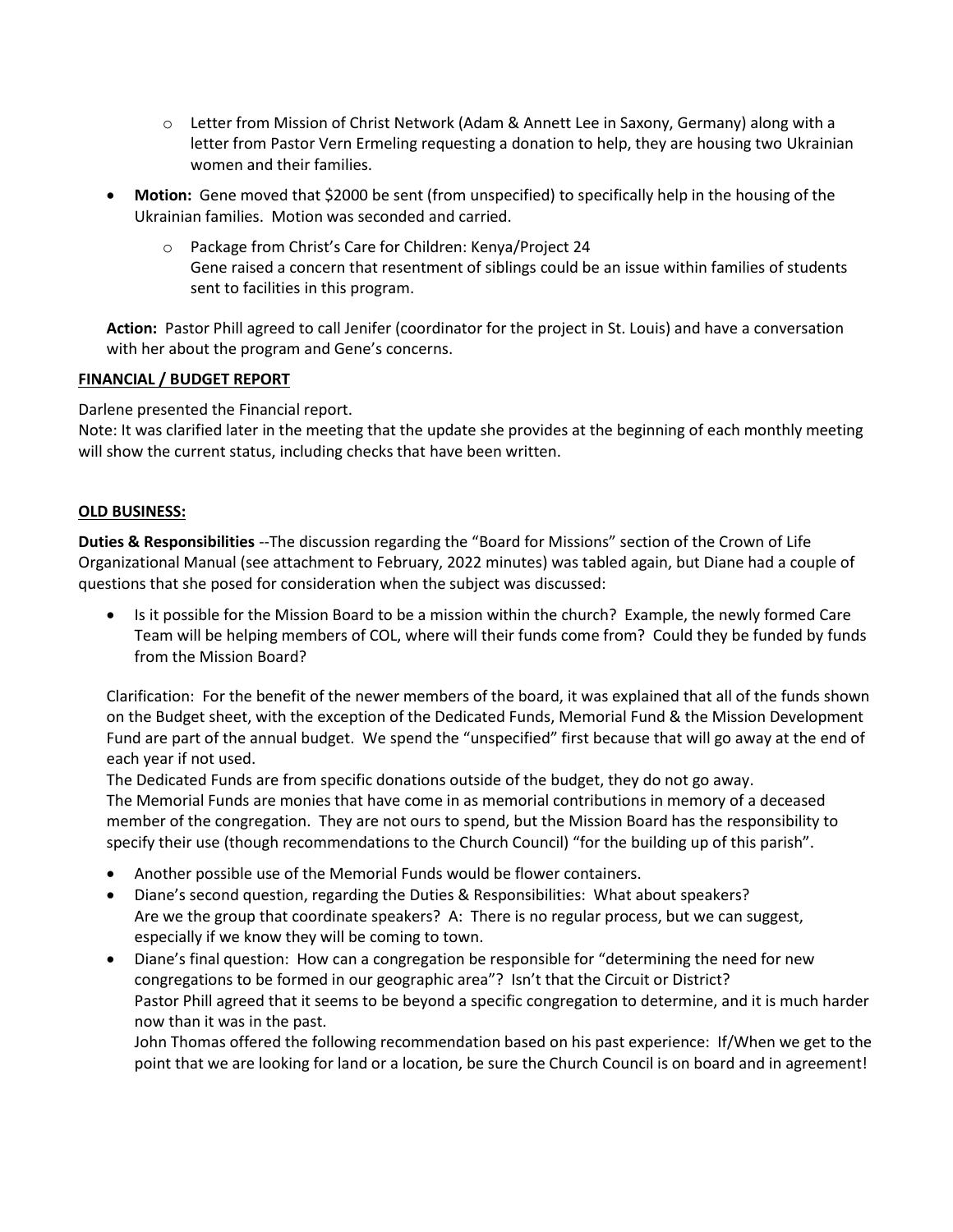- $\circ$  Letter from Mission of Christ Network (Adam & Annett Lee in Saxony, Germany) along with a letter from Pastor Vern Ermeling requesting a donation to help, they are housing two Ukrainian women and their families.
- **Motion:** Gene moved that \$2000 be sent (from unspecified) to specifically help in the housing of the Ukrainian families. Motion was seconded and carried.
	- o Package from Christ's Care for Children: Kenya/Project 24 Gene raised a concern that resentment of siblings could be an issue within families of students sent to facilities in this program.

**Action:** Pastor Phill agreed to call Jenifer (coordinator for the project in St. Louis) and have a conversation with her about the program and Gene's concerns.

## **FINANCIAL / BUDGET REPORT**

Darlene presented the Financial report.

Note: It was clarified later in the meeting that the update she provides at the beginning of each monthly meeting will show the current status, including checks that have been written.

## **OLD BUSINESS:**

**Duties & Responsibilities** --The discussion regarding the "Board for Missions" section of the Crown of Life Organizational Manual (see attachment to February, 2022 minutes) was tabled again, but Diane had a couple of questions that she posed for consideration when the subject was discussed:

• Is it possible for the Mission Board to be a mission within the church? Example, the newly formed Care Team will be helping members of COL, where will their funds come from? Could they be funded by funds from the Mission Board?

Clarification: For the benefit of the newer members of the board, it was explained that all of the funds shown on the Budget sheet, with the exception of the Dedicated Funds, Memorial Fund & the Mission Development Fund are part of the annual budget. We spend the "unspecified" first because that will go away at the end of each year if not used.

The Dedicated Funds are from specific donations outside of the budget, they do not go away. The Memorial Funds are monies that have come in as memorial contributions in memory of a deceased member of the congregation. They are not ours to spend, but the Mission Board has the responsibility to specify their use (though recommendations to the Church Council) "for the building up of this parish".

- Another possible use of the Memorial Funds would be flower containers.
- Diane's second question, regarding the Duties & Responsibilities: What about speakers? Are we the group that coordinate speakers? A: There is no regular process, but we can suggest, especially if we know they will be coming to town.
- Diane's final question: How can a congregation be responsible for "determining the need for new congregations to be formed in our geographic area"? Isn't that the Circuit or District? Pastor Phill agreed that it seems to be beyond a specific congregation to determine, and it is much harder now than it was in the past.

John Thomas offered the following recommendation based on his past experience: If/When we get to the point that we are looking for land or a location, be sure the Church Council is on board and in agreement!